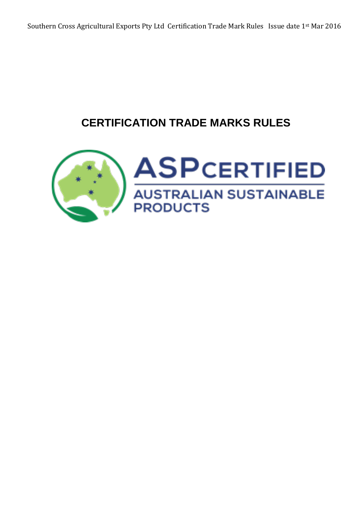# **CERTIFICATION TRADE MARKS RULES**

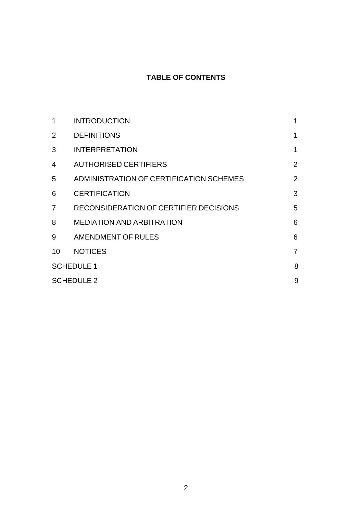# **TABLE OF CONTENTS**

| 1                 | <b>INTRODUCTION</b>                     | 1              |
|-------------------|-----------------------------------------|----------------|
| 2                 | <b>DEFINITIONS</b>                      | 1              |
| 3                 | <b>INTERPRETATION</b>                   | $\mathbf 1$    |
| 4                 | <b>AUTHORISED CERTIFIERS</b>            | $\overline{2}$ |
| 5                 | ADMINISTRATION OF CERTIFICATION SCHEMES | $\overline{2}$ |
| 6                 | <b>CERTIFICATION</b>                    | 3              |
| $\overline{7}$    | RECONSIDERATION OF CERTIFIER DECISIONS  | 5              |
| 8                 | <b>MEDIATION AND ARBITRATION</b>        | 6              |
| 9                 | AMENDMENT OF RULES                      | 6              |
| 10                | <b>NOTICES</b>                          | $\overline{7}$ |
| <b>SCHEDULE 1</b> |                                         | 8              |
| <b>SCHEDULE 2</b> |                                         | 9              |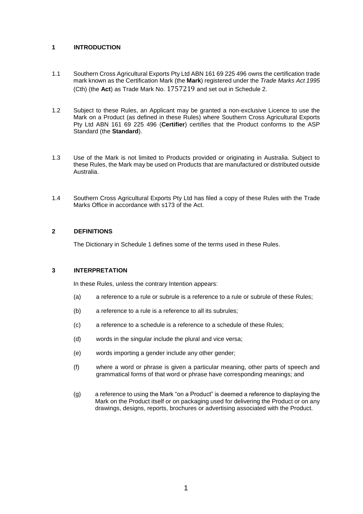# **1 INTRODUCTION**

- 1.1 Southern Cross Agricultural Exports Pty Ltd ABN 161 69 225 496 owns the certification trade mark known as the Certification Mark (the **Mark**) registered under the *Trade Marks Act 1995* (Cth) (the **Act**) as Trade Mark No. 1757219 and set out in Schedule 2.
- 1.2 Subject to these Rules, an Applicant may be granted a non-exclusive Licence to use the Mark on a Product (as defined in these Rules) where Southern Cross Agricultural Exports Pty Ltd ABN 161 69 225 496 (**Certifier**) certifies that the Product conforms to the ASP Standard (the **Standard**).
- 1.3 Use of the Mark is not limited to Products provided or originating in Australia. Subject to these Rules, the Mark may be used on Products that are manufactured or distributed outside Australia.
- 1.4 Southern Cross Agricultural Exports Pty Ltd has filed a copy of these Rules with the Trade Marks Office in accordance with s173 of the Act.

# **2 DEFINITIONS**

The Dictionary in Schedule 1 defines some of the terms used in these Rules.

# **3 INTERPRETATION**

In these Rules, unless the contrary Intention appears:

- (a) a reference to a rule or subrule is a reference to a rule or subrule of these Rules;
- (b) a reference to a rule is a reference to all its subrules;
- (c) a reference to a schedule is a reference to a schedule of these Rules;
- (d) words in the singular include the plural and vice versa;
- (e) words importing a gender include any other gender;
- (f) where a word or phrase is given a particular meaning, other parts of speech and grammatical forms of that word or phrase have corresponding meanings; and
- (g) a reference to using the Mark "on a Product" is deemed a reference to displaying the Mark on the Product itself or on packaging used for delivering the Product or on any drawings, designs, reports, brochures or advertising associated with the Product.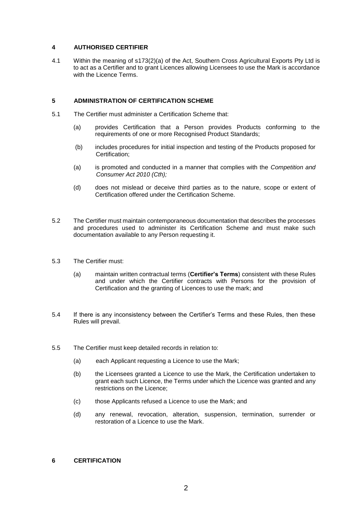# **4 AUTHORISED CERTIFIER**

4.1 Within the meaning of s173(2)(a) of the Act, Southern Cross Agricultural Exports Pty Ltd is to act as a Certifier and to grant Licences allowing Licensees to use the Mark is accordance with the Licence Terms.

# **5 ADMINISTRATION OF CERTIFICATION SCHEME**

- 5.1 The Certifier must administer a Certification Scheme that:
	- (a) provides Certification that a Person provides Products conforming to the requirements of one or more Recognised Product Standards;
	- (b) includes procedures for initial inspection and testing of the Products proposed for Certification;
	- (a) is promoted and conducted in a manner that complies with the *Competition and Consumer Act 2010 (Cth);*
	- (d) does not mislead or deceive third parties as to the nature, scope or extent of Certification offered under the Certification Scheme.
- 5.2 The Certifier must maintain contemporaneous documentation that describes the processes and procedures used to administer its Certification Scheme and must make such documentation available to any Person requesting it.
- 5.3 The Certifier must:
	- (a) maintain written contractual terms (**Certifier's Terms**) consistent with these Rules and under which the Certifier contracts with Persons for the provision of Certification and the granting of Licences to use the mark; and
- 5.4 If there is any inconsistency between the Certifier's Terms and these Rules, then these Rules will prevail.
- 5.5 The Certifier must keep detailed records in relation to:
	- (a) each Applicant requesting a Licence to use the Mark;
	- (b) the Licensees granted a Licence to use the Mark, the Certification undertaken to grant each such Licence, the Terms under which the Licence was granted and any restrictions on the Licence;
	- (c) those Applicants refused a Licence to use the Mark; and
	- (d) any renewal, revocation, alteration, suspension, termination, surrender or restoration of a Licence to use the Mark.

### **6 CERTIFICATION**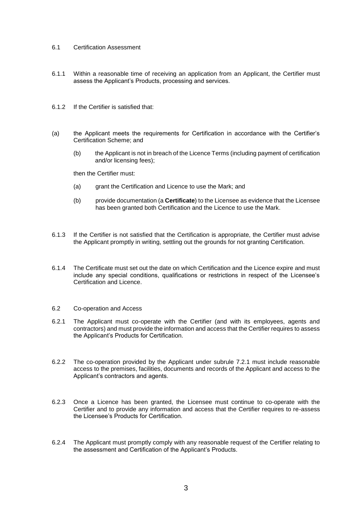#### 6.1 Certification Assessment

- 6.1.1 Within a reasonable time of receiving an application from an Applicant, the Certifier must assess the Applicant's Products, processing and services.
- 6.1.2 If the Certifier is satisfied that:
- (a) the Applicant meets the requirements for Certification in accordance with the Certifier's Certification Scheme; and
	- (b) the Applicant is not in breach of the Licence Terms (including payment of certification and/or licensing fees);

then the Certifier must:

- (a) grant the Certification and Licence to use the Mark; and
- (b) provide documentation (a **Certificate**) to the Licensee as evidence that the Licensee has been granted both Certification and the Licence to use the Mark.
- 6.1.3 If the Certifier is not satisfied that the Certification is appropriate, the Certifier must advise the Applicant promptly in writing, settling out the grounds for not granting Certification.
- 6.1.4 The Certificate must set out the date on which Certification and the Licence expire and must include any special conditions, qualifications or restrictions in respect of the Licensee's Certification and Licence.

#### 6.2 Co-operation and Access

- 6.2.1 The Applicant must co-operate with the Certifier (and with its employees, agents and contractors) and must provide the information and access that the Certifier requires to assess the Applicant's Products for Certification.
- 6.2.2 The co-operation provided by the Applicant under subrule 7.2.1 must include reasonable access to the premises, facilities, documents and records of the Applicant and access to the Applicant's contractors and agents.
- 6.2.3 Once a Licence has been granted, the Licensee must continue to co-operate with the Certifier and to provide any information and access that the Certifier requires to re-assess the Licensee's Products for Certification.
- 6.2.4 The Applicant must promptly comply with any reasonable request of the Certifier relating to the assessment and Certification of the Applicant's Products.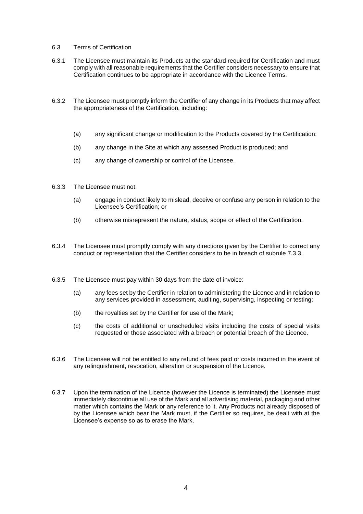#### 6.3 Terms of Certification

- 6.3.1 The Licensee must maintain its Products at the standard required for Certification and must comply with all reasonable requirements that the Certifier considers necessary to ensure that Certification continues to be appropriate in accordance with the Licence Terms.
- 6.3.2 The Licensee must promptly inform the Certifier of any change in its Products that may affect the appropriateness of the Certification, including:
	- (a) any significant change or modification to the Products covered by the Certification;
	- (b) any change in the Site at which any assessed Product is produced; and
	- (c) any change of ownership or control of the Licensee.
- 6.3.3 The Licensee must not:
	- (a) engage in conduct likely to mislead, deceive or confuse any person in relation to the Licensee's Certification; or
	- (b) otherwise misrepresent the nature, status, scope or effect of the Certification.
- 6.3.4 The Licensee must promptly comply with any directions given by the Certifier to correct any conduct or representation that the Certifier considers to be in breach of subrule 7.3.3.
- 6.3.5 The Licensee must pay within 30 days from the date of invoice:
	- (a) any fees set by the Certifier in relation to administering the Licence and in relation to any services provided in assessment, auditing, supervising, inspecting or testing;
	- (b) the royalties set by the Certifier for use of the Mark;
	- (c) the costs of additional or unscheduled visits including the costs of special visits requested or those associated with a breach or potential breach of the Licence.
- 6.3.6 The Licensee will not be entitled to any refund of fees paid or costs incurred in the event of any relinquishment, revocation, alteration or suspension of the Licence.
- 6.3.7 Upon the termination of the Licence (however the Licence is terminated) the Licensee must immediately discontinue all use of the Mark and all advertising material, packaging and other matter which contains the Mark or any reference to it. Any Products not already disposed of by the Licensee which bear the Mark must, if the Certifier so requires, be dealt with at the Licensee's expense so as to erase the Mark.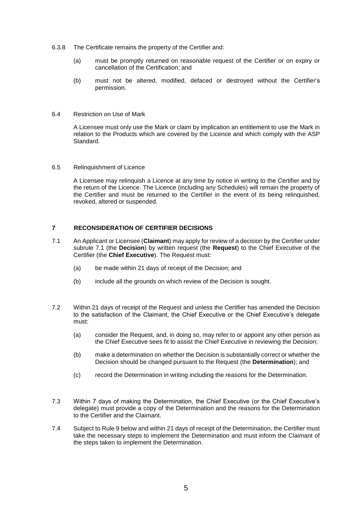- 6.3.8 The Certificate remains the property of the Certifier and:
	- (a) must be promptly returned on reasonable request of the Certifier or on expiry or cancellation of the Certification; and
	- (b) must not be altered, modified, defaced or destroyed without the Certifier's permission.
- 6.4 Restriction on Use of Mark

A Licensee must only use the Mark or claim by implication an entitlement to use the Mark in relation to the Products which are covered by the Licence and which comply with the ASP Standard.

6.5 Relinquishment of Licence

A Licensee may relinquish a Licence at any time by notice in writing to the Certifier and by the return of the Licence. The Licence (including any Schedules) will remain the property of the Certifier and must be returned to the Certifier in the event of its being relinquished, revoked, altered or suspended.

# **7 RECONSIDERATION OF CERTIFIER DECISIONS**

- 7.1 An Applicant or Licensee (**Claimant**) may apply for review of a decision by the Certifier under subrule 7.1 (the **Decision**) by written request (the **Request**) to the Chief Executive of the Certifier (the **Chief Executive**). The Request must:
	- (a) be made within 21 days of receipt of the Decision; and
	- (b) include all the grounds on which review of the Decision is sought.
- 7.2 Within 21 days of receipt of the Request and unless the Certifier has amended the Decision to the satisfaction of the Claimant, the Chief Executive or the Chief Executive's delegate must:
	- (a) consider the Request, and, in doing so, may refer to or appoint any other person as the Chief Executive sees fit to assist the Chief Executive in reviewing the Decision;
	- (b) make a determination on whether the Decision is substantially correct or whether the Decision should be changed pursuant to the Request (the **Determination**); and
	- (c) record the Determination in writing including the reasons for the Determination.
- 7.3 Within 7 days of making the Determination, the Chief Executive (or the Chief Executive's delegate) must provide a copy of the Determination and the reasons for the Determination to the Certifier and the Claimant.
- 7.4 Subject to Rule 9 below and within 21 days of receipt of the Determination, the Certifier must take the necessary steps to implement the Determination and must inform the Claimant of the steps taken to implement the Determination.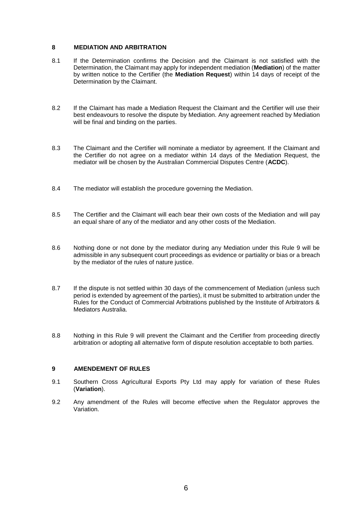# **8 MEDIATION AND ARBITRATION**

- 8.1 If the Determination confirms the Decision and the Claimant is not satisfied with the Determination, the Claimant may apply for independent mediation (**Mediation**) of the matter by written notice to the Certifier (the **Mediation Request**) within 14 days of receipt of the Determination by the Claimant.
- 8.2 If the Claimant has made a Mediation Request the Claimant and the Certifier will use their best endeavours to resolve the dispute by Mediation. Any agreement reached by Mediation will be final and binding on the parties.
- 8.3 The Claimant and the Certifier will nominate a mediator by agreement. If the Claimant and the Certifier do not agree on a mediator within 14 days of the Mediation Request, the mediator will be chosen by the Australian Commercial Disputes Centre (**ACDC**).
- 8.4 The mediator will establish the procedure governing the Mediation.
- 8.5 The Certifier and the Claimant will each bear their own costs of the Mediation and will pay an equal share of any of the mediator and any other costs of the Mediation.
- 8.6 Nothing done or not done by the mediator during any Mediation under this Rule 9 will be admissible in any subsequent court proceedings as evidence or partiality or bias or a breach by the mediator of the rules of nature justice.
- 8.7 If the dispute is not settled within 30 days of the commencement of Mediation (unless such period is extended by agreement of the parties), it must be submitted to arbitration under the Rules for the Conduct of Commercial Arbitrations published by the Institute of Arbitrators & Mediators Australia.
- 8.8 Nothing in this Rule 9 will prevent the Claimant and the Certifier from proceeding directly arbitration or adopting all alternative form of dispute resolution acceptable to both parties.

#### **9 AMENDEMENT OF RULES**

- 9.1 Southern Cross Agricultural Exports Pty Ltd may apply for variation of these Rules (**Variation**).
- 9.2 Any amendment of the Rules will become effective when the Regulator approves the Variation.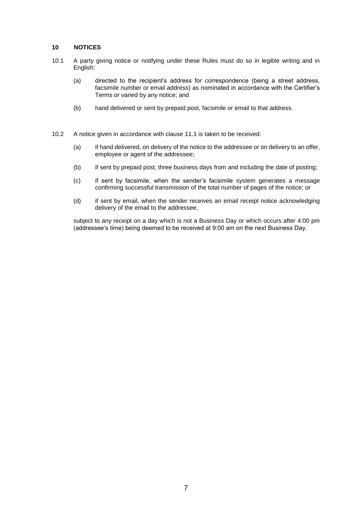# **10 NOTICES**

- 10.1 A party giving notice or notifying under these Rules must do so in legible writing and in English:
	- (a) directed to the recipient's address for correspondence (being a street address, facsimile number or email address) as nominated in accordance with the Certifier's Terms or varied by any notice; and
	- (b) hand delivered or sent by prepaid post, facsimile or email to that address.
- 10.2 A notice given in accordance with clause 11.1 is taken to be received:
	- (a) if hand delivered, on delivery of the notice to the addressee or on delivery to an offer, employee or agent of the addressee;
	- (b) if sent by prepaid post, three business days from and including the date of posting;
	- (c) if sent by facsimile, when the sender's facsimile system generates a message confirming successful transmission of the total number of pages of the notice; or
	- (d) if sent by email, when the sender receives an email receipt notice acknowledging delivery of the email to the addressee,

subject to any receipt on a day which is not a Business Day or which occurs after 4:00 pm (addressee's time) being deemed to be received at 9:00 am on the next Business Day.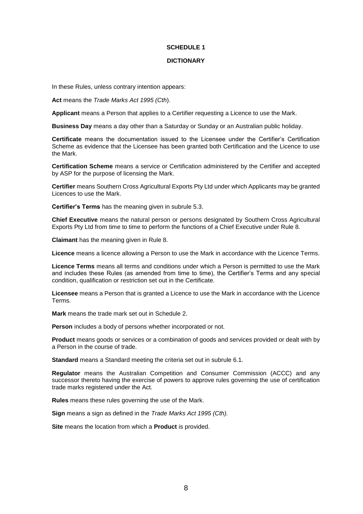# **SCHEDULE 1**

#### **DICTIONARY**

In these Rules, unless contrary intention appears:

**Act** means the *Trade Marks Act 1995 (Cth*).

**Applicant** means a Person that applies to a Certifier requesting a Licence to use the Mark.

**Business Day** means a day other than a Saturday or Sunday or an Australian public holiday.

**Certificate** means the documentation issued to the Licensee under the Certifier's Certification Scheme as evidence that the Licensee has been granted both Certification and the Licence to use the Mark.

**Certification Scheme** means a service or Certification administered by the Certifier and accepted by ASP for the purpose of licensing the Mark.

**Certifier** means Southern Cross Agricultural Exports Pty Ltd under which Applicants may be granted Licences to use the Mark.

**Certifier's Terms** has the meaning given in subrule 5.3.

**Chief Executive** means the natural person or persons designated by Southern Cross Agricultural Exports Pty Ltd from time to time to perform the functions of a Chief Executive under Rule 8.

**Claimant** has the meaning given in Rule 8.

**Licence** means a licence allowing a Person to use the Mark in accordance with the Licence Terms.

**Licence Terms** means all terms and conditions under which a Person is permitted to use the Mark and includes these Rules (as amended from time to time), the Certifier's Terms and any special condition, qualification or restriction set out in the Certificate.

**Licensee** means a Person that is granted a Licence to use the Mark in accordance with the Licence Terms.

**Mark** means the trade mark set out in Schedule 2.

**Person** includes a body of persons whether incorporated or not.

**Product** means goods or services or a combination of goods and services provided or dealt with by a Person in the course of trade.

**Standard** means a Standard meeting the criteria set out in subrule 6.1.

**Regulator** means the Australian Competition and Consumer Commission (ACCC) and any successor thereto having the exercise of powers to approve rules governing the use of certification trade marks registered under the Act.

**Rules** means these rules governing the use of the Mark.

**Sign** means a sign as defined in the *Trade Marks Act 1995 (Cth).*

**Site** means the location from which a **Product** is provided.